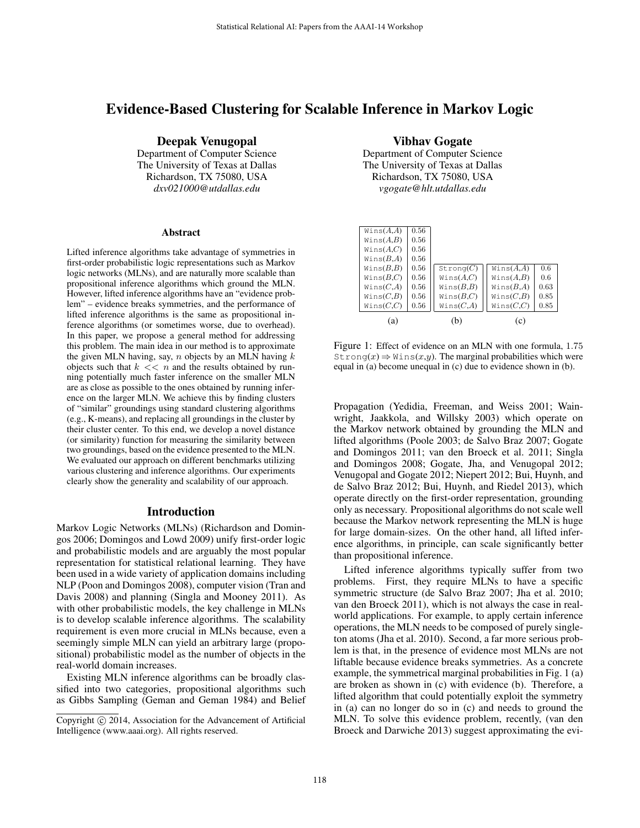# Evidence-Based Clustering for Scalable Inference in Markov Logic

Deepak Venugopal

Department of Computer Science The University of Texas at Dallas Richardson, TX 75080, USA *dxv021000@utdallas.edu*

#### **Abstract**

Lifted inference algorithms take advantage of symmetries in first-order probabilistic logic representations such as Markov logic networks (MLNs), and are naturally more scalable than propositional inference algorithms which ground the MLN. However, lifted inference algorithms have an "evidence problem" – evidence breaks symmetries, and the performance of lifted inference algorithms is the same as propositional inference algorithms (or sometimes worse, due to overhead). In this paper, we propose a general method for addressing this problem. The main idea in our method is to approximate the given MLN having, say,  $n$  objects by an MLN having  $k$ objects such that  $k \ll n$  and the results obtained by running potentially much faster inference on the smaller MLN are as close as possible to the ones obtained by running inference on the larger MLN. We achieve this by finding clusters of "similar" groundings using standard clustering algorithms (e.g., K-means), and replacing all groundings in the cluster by their cluster center. To this end, we develop a novel distance (or similarity) function for measuring the similarity between two groundings, based on the evidence presented to the MLN. We evaluated our approach on different benchmarks utilizing various clustering and inference algorithms. Our experiments clearly show the generality and scalability of our approach.

### Introduction

Markov Logic Networks (MLNs) (Richardson and Domingos 2006; Domingos and Lowd 2009) unify first-order logic and probabilistic models and are arguably the most popular representation for statistical relational learning. They have been used in a wide variety of application domains including NLP (Poon and Domingos 2008), computer vision (Tran and Davis 2008) and planning (Singla and Mooney 2011). As with other probabilistic models, the key challenge in MLNs is to develop scalable inference algorithms. The scalability requirement is even more crucial in MLNs because, even a seemingly simple MLN can yield an arbitrary large (propositional) probabilistic model as the number of objects in the real-world domain increases.

Existing MLN inference algorithms can be broadly classified into two categories, propositional algorithms such as Gibbs Sampling (Geman and Geman 1984) and Belief Vibhav Gogate

Department of Computer Science The University of Texas at Dallas Richardson, TX 75080, USA *vgogate@hlt.utdallas.edu*

| (a)          |      | (b)          | (c)          |      |
|--------------|------|--------------|--------------|------|
| Wins(C,C)    | 0.56 | Wins(C,A)    | Wins(C,C)    | 0.85 |
| Wins $(C,B)$ | 0.56 | Wins $(B,C)$ | Wins(C,B)    | 0.85 |
| Wins(C,A)    | 0.56 | Wins $(B,B)$ | Wins $(B,A)$ | 0.63 |
| Wins $(B,C)$ | 0.56 | Wins(A,C)    | Wins(A,B)    | 0.6  |
| Wins(B,B)    | 0.56 | Strong(C)    | Wins(A,A)    | 0.6  |
| Wins(B,A)    | 0.56 |              |              |      |
| Wins(A,C)    | 0.56 |              |              |      |
| Wins(A,B)    | 0.56 |              |              |      |
| Wins(A,A)    | 0.56 |              |              |      |
|              |      |              |              |      |

Figure 1: Effect of evidence on an MLN with one formula, 1.75  $Strong(x) \Rightarrow$  Wins $(x,y)$ . The marginal probabilities which were equal in (a) become unequal in (c) due to evidence shown in (b).

Propagation (Yedidia, Freeman, and Weiss 2001; Wainwright, Jaakkola, and Willsky 2003) which operate on the Markov network obtained by grounding the MLN and lifted algorithms (Poole 2003; de Salvo Braz 2007; Gogate and Domingos 2011; van den Broeck et al. 2011; Singla and Domingos 2008; Gogate, Jha, and Venugopal 2012; Venugopal and Gogate 2012; Niepert 2012; Bui, Huynh, and de Salvo Braz 2012; Bui, Huynh, and Riedel 2013), which operate directly on the first-order representation, grounding only as necessary. Propositional algorithms do not scale well because the Markov network representing the MLN is huge for large domain-sizes. On the other hand, all lifted inference algorithms, in principle, can scale significantly better than propositional inference.

Lifted inference algorithms typically suffer from two problems. First, they require MLNs to have a specific symmetric structure (de Salvo Braz 2007; Jha et al. 2010; van den Broeck 2011), which is not always the case in realworld applications. For example, to apply certain inference operations, the MLN needs to be composed of purely singleton atoms (Jha et al. 2010). Second, a far more serious problem is that, in the presence of evidence most MLNs are not liftable because evidence breaks symmetries. As a concrete example, the symmetrical marginal probabilities in Fig. 1 (a) are broken as shown in (c) with evidence (b). Therefore, a lifted algorithm that could potentially exploit the symmetry in (a) can no longer do so in (c) and needs to ground the MLN. To solve this evidence problem, recently, (van den Broeck and Darwiche 2013) suggest approximating the evi-

Copyright (c) 2014, Association for the Advancement of Artificial Intelligence (www.aaai.org). All rights reserved.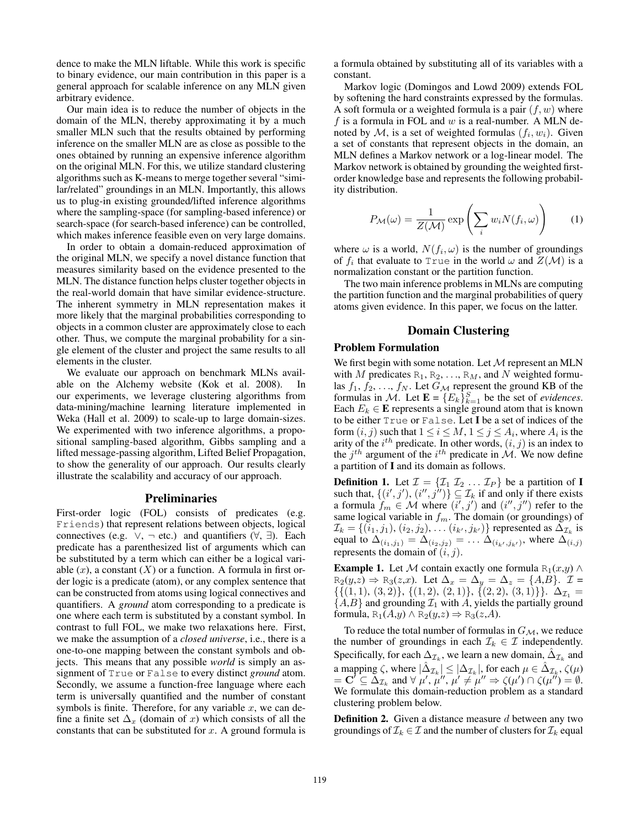dence to make the MLN liftable. While this work is specific to binary evidence, our main contribution in this paper is a general approach for scalable inference on any MLN given arbitrary evidence.

Our main idea is to reduce the number of objects in the domain of the MLN, thereby approximating it by a much smaller MLN such that the results obtained by performing inference on the smaller MLN are as close as possible to the ones obtained by running an expensive inference algorithm on the original MLN. For this, we utilize standard clustering algorithms such as K-means to merge together several "similar/related" groundings in an MLN. Importantly, this allows us to plug-in existing grounded/lifted inference algorithms where the sampling-space (for sampling-based inference) or search-space (for search-based inference) can be controlled, which makes inference feasible even on very large domains.

In order to obtain a domain-reduced approximation of the original MLN, we specify a novel distance function that measures similarity based on the evidence presented to the MLN. The distance function helps cluster together objects in the real-world domain that have similar evidence-structure. The inherent symmetry in MLN representation makes it more likely that the marginal probabilities corresponding to objects in a common cluster are approximately close to each other. Thus, we compute the marginal probability for a single element of the cluster and project the same results to all elements in the cluster.

We evaluate our approach on benchmark MLNs available on the Alchemy website (Kok et al. 2008). In our experiments, we leverage clustering algorithms from data-mining/machine learning literature implemented in Weka (Hall et al. 2009) to scale-up to large domain-sizes. We experimented with two inference algorithms, a propositional sampling-based algorithm, Gibbs sampling and a lifted message-passing algorithm, Lifted Belief Propagation, to show the generality of our approach. Our results clearly illustrate the scalability and accuracy of our approach.

### Preliminaries

First-order logic (FOL) consists of predicates (e.g. Friends) that represent relations between objects, logical connectives (e.g.  $\vee$ ,  $\neg$  etc.) and quantifiers ( $\forall$ ,  $\exists$ ). Each predicate has a parenthesized list of arguments which can be substituted by a term which can either be a logical variable  $(x)$ , a constant  $(X)$  or a function. A formula in first order logic is a predicate (atom), or any complex sentence that can be constructed from atoms using logical connectives and quantifiers. A *ground* atom corresponding to a predicate is one where each term is substituted by a constant symbol. In contrast to full FOL, we make two relaxations here. First, we make the assumption of a *closed universe*, i.e., there is a one-to-one mapping between the constant symbols and objects. This means that any possible *world* is simply an assignment of True or False to every distinct *ground* atom. Secondly, we assume a function-free language where each term is universally quantified and the number of constant symbols is finite. Therefore, for any variable  $x$ , we can define a finite set  $\Delta_x$  (domain of x) which consists of all the constants that can be substituted for  $x$ . A ground formula is

a formula obtained by substituting all of its variables with a constant.

Markov logic (Domingos and Lowd 2009) extends FOL by softening the hard constraints expressed by the formulas. A soft formula or a weighted formula is a pair  $(f, w)$  where f is a formula in FOL and  $w$  is a real-number. A MLN denoted by M, is a set of weighted formulas  $(f_i, w_i)$ . Given a set of constants that represent objects in the domain, an MLN defines a Markov network or a log-linear model. The Markov network is obtained by grounding the weighted firstorder knowledge base and represents the following probability distribution.

$$
P_{\mathcal{M}}(\omega) = \frac{1}{Z(\mathcal{M})} \exp\left(\sum_{i} w_{i} N(f_{i}, \omega)\right) \qquad (1)
$$

where  $\omega$  is a world,  $N(f_i, \omega)$  is the number of groundings of  $f_i$  that evaluate to True in the world  $\omega$  and  $Z(\mathcal{M})$  is a normalization constant or the partition function.

The two main inference problems in MLNs are computing the partition function and the marginal probabilities of query atoms given evidence. In this paper, we focus on the latter.

#### Domain Clustering

#### Problem Formulation

We first begin with some notation. Let  $M$  represent an MLN with M predicates  $R_1, R_2, \ldots, R_M$ , and N weighted formulas  $f_1, f_2, \ldots, f_N$ . Let  $G_{\mathcal{M}}$  represent the ground KB of the formulas in M. Let  $\mathbf{E} = \{E_k\}_{k=1}^S$  be the set of *evidences*. Each  $E_k \in \mathbf{E}$  represents a single ground atom that is known to be either True or False. Let I be a set of indices of the form  $(i, j)$  such that  $1 \le i \le M$ ,  $1 \le j \le A_i$ , where  $A_i$  is the arity of the  $i^{th}$  predicate. In other words,  $(i, j)$  is an index to the  $j<sup>th</sup>$  argument of the  $i<sup>th</sup>$  predicate in  $\mathcal{M}$ . We now define a partition of I and its domain as follows.

**Definition 1.** Let  $\mathcal{I} = {\mathcal{I}_1 \mathcal{I}_2 \dots \mathcal{I}_P}$  be a partition of **I** such that,  $\{(i',j'), (i'',j'')\} \subseteq \mathcal{I}_k$  if and only if there exists a formula  $f_m \in \mathcal{M}$  where  $(i', j')$  and  $(i'', j'')$  refer to the same logical variable in  $f_m$ . The domain (or groundings) of  $\mathcal{I}_k = \{(i_1, j_1), (i_2, j_2), \dots (i_{k'}, j_{k'})\}$  represented as  $\Delta_{\mathcal{I}_k}$  is equal to  $\Delta_{(i_1,j_1)} = \Delta_{(i_2,j_2)} = \ldots \Delta_{(i_{k'},j_{k'})}$ , where  $\Delta_{(i,j)}$ represents the domain of  $(i, j)$ .

**Example 1.** Let M contain exactly one formula R<sub>1</sub>(x,y)  $\wedge$  $R_2(y,z) \Rightarrow R_3(z,x)$ . Let  $\Delta_x = \Delta_y = \Delta_z = \{A,B\}$ .  $\mathcal{I} =$  $\{\{(1,1), (3,2)\}, \{(1,2), (2,1)\}, \{(2,2), (3,1)\}\}\.$   $\Delta_{\mathcal{I}_1}$  =  ${A,B}$  and grounding  $\mathcal{I}_1$  with A, yields the partially ground formula,  $R_1(A,y) \wedge R_2(y,z) \Rightarrow R_3(z,A)$ .

To reduce the total number of formulas in  $G_{\mathcal{M}}$ , we reduce the number of groundings in each  $\mathcal{I}_k \in \mathcal{I}$  independently. Specifically, for each  $\Delta_{\mathcal{I}_k}$ , we learn a new domain,  $\hat{\Delta}_{\mathcal{I}_k}$  and a mapping  $\zeta,$  where  $|\hat{\Delta}_{{\mathcal{I}}_k}| \leq |\Delta_{{\mathcal{I}}_k}|,$  for each  $\mu \in \hat{\Delta}_{{\mathcal{I}}_k},$   $\zeta(\mu)$  $= \mathbf{C}' \subseteq \Delta_{\mathcal{I}_k}$  and  $\forall \mu', \mu''', \mu' \neq \mu'' \Rightarrow \zeta(\mu') \cap \zeta(\mu'') = \emptyset$ . We formulate this domain-reduction problem as a standard clustering problem below.

**Definition 2.** Given a distance measure  $d$  between any two groundings of  $\mathcal{I}_k \in \mathcal{I}$  and the number of clusters for  $\mathcal{I}_k$  equal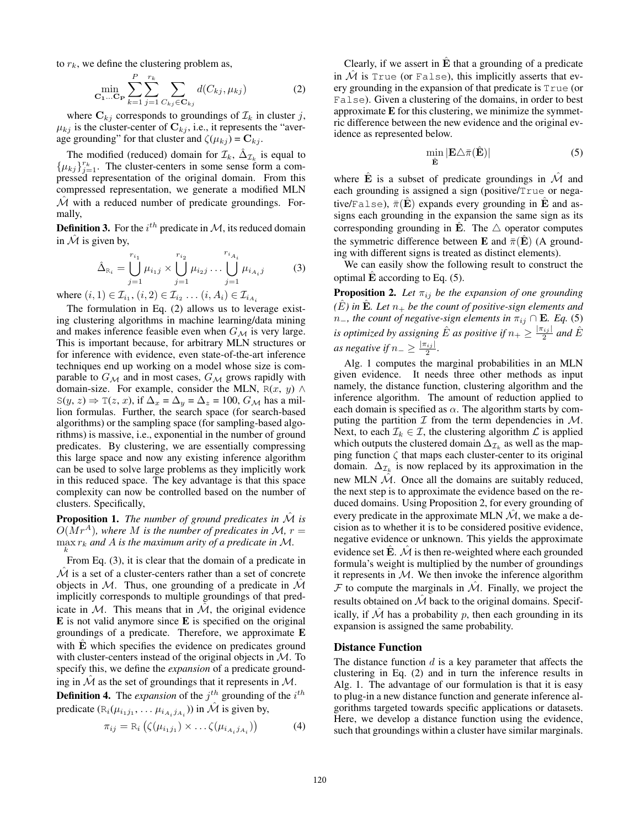to  $r_k$ , we define the clustering problem as,

$$
\min_{\mathbf{C}_1...\mathbf{C}_{\mathbf{P}}} \sum_{k=1}^P \sum_{j=1}^{r_k} \sum_{C_{kj} \in \mathbf{C}_{kj}} d(C_{kj}, \mu_{kj})
$$
(2)

where  $C_{kj}$  corresponds to groundings of  $\mathcal{I}_k$  in cluster j,  $\mu_{kj}$  is the cluster-center of  $\mathbf{C}_{kj}$ , i.e., it represents the "average grounding" for that cluster and  $\zeta(\mu_{kj}) = \mathbf{C}_{kj}$ .

The modified (reduced) domain for  $\mathcal{I}_k$ ,  $\hat{\Delta}_{\mathcal{I}_k}$  is equal to  $\{\mu_{kj}\}_{j=1}^{r_k}$ . The cluster-centers in some sense form a compressed representation of the original domain. From this compressed representation, we generate a modified MLN  $\mathcal M$  with a reduced number of predicate groundings. Formally,

**Definition 3.** For the  $i^{th}$  predicate in M, its reduced domain in  $\hat{\mathcal{M}}$  is given by,

$$
\hat{\Delta}_{\mathcal{R}_i} = \bigcup_{j=1}^{r_{i_1}} \mu_{i_1 j} \times \bigcup_{j=1}^{r_{i_2}} \mu_{i_2 j} \dots \bigcup_{j=1}^{r_{i_{A_i}}} \mu_{i_{A_i} j} \tag{3}
$$

where  $(i, 1) \in I_{i_1}, (i, 2) \in I_{i_2} \dots (i, A_i) \in I_{i_{A_i}}$ 

The formulation in Eq. (2) allows us to leverage existing clustering algorithms in machine learning/data mining and makes inference feasible even when  $G_{\mathcal{M}}$  is very large. This is important because, for arbitrary MLN structures or for inference with evidence, even state-of-the-art inference techniques end up working on a model whose size is comparable to  $G_{\mathcal{M}}$  and in most cases,  $G_{\mathcal{M}}$  grows rapidly with domain-size. For example, consider the MLN,  $R(x, y) \wedge$ S(y, z)  $\Rightarrow$  T(z, x), if  $\Delta_x = \Delta_y = \Delta_z = 100$ ,  $G_M$  has a million formulas. Further, the search space (for search-based algorithms) or the sampling space (for sampling-based algorithms) is massive, i.e., exponential in the number of ground predicates. By clustering, we are essentially compressing this large space and now any existing inference algorithm can be used to solve large problems as they implicitly work in this reduced space. The key advantage is that this space complexity can now be controlled based on the number of clusters. Specifically,

**Proposition 1.** *The number of ground predicates in*  $\hat{M}$  *is*  $O(Mr^A)$ , where M is the number of predicates in M,  $r =$  $\max_{k} r_k$  and A is the maximum arity of a predicate in M.

From Eq. (3), it is clear that the domain of a predicate in  $\hat{M}$  is a set of a cluster-centers rather than a set of concrete objects in M. Thus, one grounding of a predicate in  $\hat{\mathcal{M}}$ implicitly corresponds to multiple groundings of that predicate in  $M$ . This means that in  $\mathcal{M}$ , the original evidence  $E$  is not valid anymore since  $E$  is specified on the original groundings of a predicate. Therefore, we approximate E with  $\hat{E}$  which specifies the evidence on predicates ground with cluster-centers instead of the original objects in  $M$ . To specify this, we define the *expansion* of a predicate grounding in  $\mathcal M$  as the set of groundings that it represents in  $\mathcal M$ .

**Definition 4.** The *expansion* of the  $j^{th}$  grounding of the  $i^{th}$ predicate  $(R_i(\mu_{i_1j_1}, \dots \mu_{i_{A_i}j_{A_i}}))$  in  $\hat{\mathcal{M}}$  is given by,

$$
\pi_{ij} = \mathcal{R}_i \left( \zeta(\mu_{i_1 j_1}) \times \ldots \zeta(\mu_{i_{A_i} j_{A_i}}) \right) \tag{4}
$$

Clearly, if we assert in  $\hat{E}$  that a grounding of a predicate in  $\overline{\mathcal{M}}$  is True (or False), this implicitly asserts that every grounding in the expansion of that predicate is True (or False). Given a clustering of the domains, in order to best approximate E for this clustering, we minimize the symmetric difference between the new evidence and the original evidence as represented below.

$$
\min_{\hat{\mathbf{E}}} |\mathbf{E}\triangle\bar{\pi}(\hat{\mathbf{E}})| \tag{5}
$$

where  $\hat{E}$  is a subset of predicate groundings in  $\hat{\mathcal{M}}$  and each grounding is assigned a sign (positive/True or negative/False),  $\bar{\pi}(\hat{\mathbf{E}})$  expands every grounding in  $\hat{\mathbf{E}}$  and assigns each grounding in the expansion the same sign as its corresponding grounding in E. The  $\triangle$  operator computes the symmetric difference between **E** and  $\bar{\pi}(\hat{\mathbf{E}})$  (A grounding with different signs is treated as distinct elements).

We can easily show the following result to construct the optimal  $E$  according to Eq. (5).

**Proposition 2.** Let  $\pi_{ij}$  be the expansion of one grounding  $(E)$  in  $\hat{E}$ *. Let*  $n_+$  *be the count of positive-sign elements and*  $n_$ *, the count of negative-sign elements in*  $\pi_{ij}$  ∩ **E***. Eq.* (5) is optimized by assigning  $\hat{E}$  as positive if  $n_+ \ge \frac{|\pi_{ij}|}{2}$  and  $\hat{E}$ *as negative if*  $n_{-} \geq \frac{|\pi_{ij}|}{2}$ .

Alg. 1 computes the marginal probabilities in an MLN given evidence. It needs three other methods as input namely, the distance function, clustering algorithm and the inference algorithm. The amount of reduction applied to each domain is specified as  $\alpha$ . The algorithm starts by computing the partition  $\mathcal I$  from the term dependencies in  $\mathcal M$ . Next, to each  $\mathcal{I}_k \in \mathcal{I}$ , the clustering algorithm  $\mathcal{L}$  is applied which outputs the clustered domain  $\Delta_{\mathcal{I}_k}$  as well as the mapping function  $\zeta$  that maps each cluster-center to its original domain.  $\Delta_{\mathcal{I}_k}$  is now replaced by its approximation in the new MLN  $\hat{\mathcal{M}}$ . Once all the domains are suitably reduced, the next step is to approximate the evidence based on the reduced domains. Using Proposition 2, for every grounding of every predicate in the approximate MLN  $\mathcal{M}$ , we make a decision as to whether it is to be considered positive evidence, negative evidence or unknown. This yields the approximate evidence set  $\hat{E}$ .  $\hat{\mathcal{M}}$  is then re-weighted where each grounded formula's weight is multiplied by the number of groundings it represents in  $M$ . We then invoke the inference algorithm  $\mathcal F$  to compute the marginals in  $\mathcal M$ . Finally, we project the results obtained on  $\hat{\mathcal{M}}$  back to the original domains. Specifically, if  $\mathcal M$  has a probability  $p$ , then each grounding in its expansion is assigned the same probability.

#### Distance Function

The distance function  $d$  is a key parameter that affects the clustering in Eq. (2) and in turn the inference results in Alg. 1. The advantage of our formulation is that it is easy to plug-in a new distance function and generate inference algorithms targeted towards specific applications or datasets. Here, we develop a distance function using the evidence, such that groundings within a cluster have similar marginals.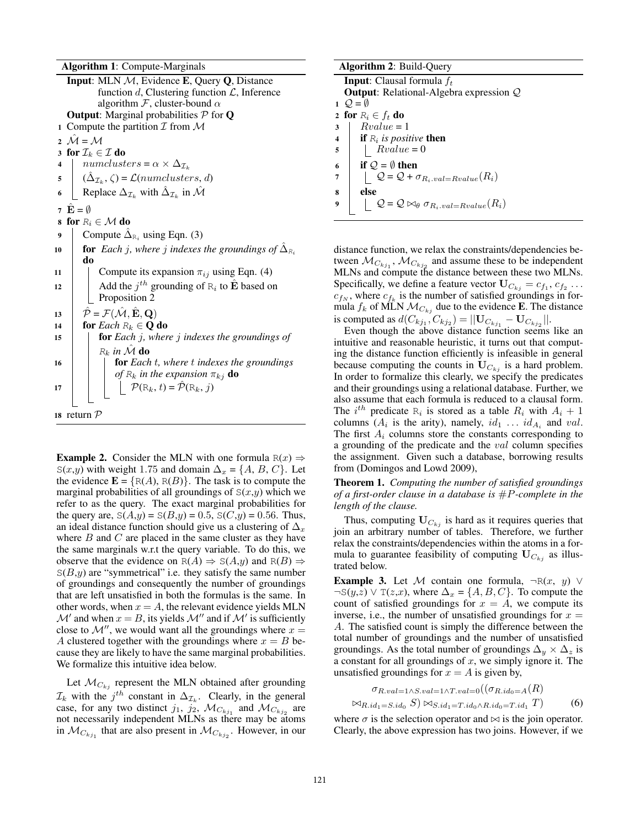Algorithm 1: Compute-Marginals

Input: MLN M, Evidence E, Query Q, Distance function  $d$ , Clustering function  $\mathcal{L}$ , Inference algorithm  $\mathcal{F}$ , cluster-bound  $\alpha$ **Output:** Marginal probabilities  $P$  for **Q** 1 Compute the partition  $\mathcal I$  from  $\mathcal M$ 2  $\mathcal{M} = \mathcal{M}$ 3 for  $\mathcal{I}_k \in \mathcal{I}$  do numclusters =  $\alpha \times \Delta_{\mathcal{I}_k}$ 4 5  $\hat{\Delta}_{\mathcal{I}_k}$ ,  $\zeta$ ) =  $\mathcal{L}(numclusters, d)$ 6 Replace  $\Delta_{\mathcal{I}_k}$  with  $\hat{\Delta}_{\mathcal{I}_k}$  in  $\hat{\mathcal{M}}$ 7  $\mathbf{E} = \emptyset$ 8 for  $R_i \in \mathcal{M}$  do 9 Compute  $\hat{\Delta}_{\text{R}_i}$  using Eqn. (3) for *Each j, where j indexes the groundings of*  $\hat{\Delta}_{R_i}$ 10 do 11 | Compute its expansion  $\pi_{ij}$  using Eqn. (4) 12 Add the  $j^{th}$  grounding of  $R_i$  to  $\hat{\mathbf{E}}$  based on Proposition 2 13  $\hat{\mathcal{P}} = \mathcal{F}(\hat{\mathcal{M}}, \hat{\mathbf{E}}, \mathbf{Q})$ 14 **for** *Each*  $R_k \in \mathbf{Q}$  do <sup>15</sup> for *Each* j*, where* j *indexes the groundings of*  $R_k$  in  $\hat{M}$  do <sup>16</sup> for *Each* t*, where* t *indexes the groundings*  $of$   $R_k$  *in the expansion*  $\pi_{kj}$  **do** 17  $\left|\right|$   $\left|\right|$   $\mathcal{P}(\mathbb{R}_k, t) = \hat{\mathcal{P}}(\mathbb{R}_k, j)$ <sup>18</sup> return P

**Example 2.** Consider the MLN with one formula  $R(x) \Rightarrow$ S(x,y) with weight 1.75 and domain  $\Delta_x = \{A, B, C\}$ . Let the evidence  $\mathbf{E} = \{ R(A), R(B) \}$ . The task is to compute the marginal probabilities of all groundings of  $S(x,y)$  which we refer to as the query. The exact marginal probabilities for the query are,  $S(A,y) = S(B,y) = 0.5$ ,  $S(C,y) = 0.56$ . Thus, an ideal distance function should give us a clustering of  $\Delta_x$ where  $B$  and  $C$  are placed in the same cluster as they have the same marginals w.r.t the query variable. To do this, we observe that the evidence on  $R(A) \Rightarrow S(A,y)$  and  $R(B) \Rightarrow$  $S(B,y)$  are "symmetrical" i.e. they satisfy the same number of groundings and consequently the number of groundings that are left unsatisfied in both the formulas is the same. In other words, when  $x = A$ , the relevant evidence yields MLN  $\mathcal{M}'$  and when  $x = B$ , its yields  $\mathcal{M}''$  and if  $\mathcal{M}'$  is sufficiently close to  $\mathcal{M}''$ , we would want all the groundings where  $x =$ A clustered together with the groundings where  $x = B$  because they are likely to have the same marginal probabilities. We formalize this intuitive idea below.

Let  $\mathcal{M}_{C_{kj}}$  represent the MLN obtained after grounding  $\mathcal{I}_k$  with the  $j^{th}$  constant in  $\Delta_{\mathcal{I}_k}$ . Clearly, in the general case, for any two distinct  $j_1$ ,  $j_2$ ,  $\mathcal{M}_{C_{kj_1}}$  and  $\mathcal{M}_{C_{kj_2}}$  are not necessarily independent MLNs as there may be atoms in  $\mathcal{M}_{C_{k_{j_1}}}$  that are also present in  $\mathcal{M}_{C_{k_{j_2}}}$ . However, in our

|  | <b>Algorithm 2: Build-Query</b> |  |  |  |
|--|---------------------------------|--|--|--|
|--|---------------------------------|--|--|--|

| <b>Input:</b> Clausal formula $f_t$                     |                         |
|---------------------------------------------------------|-------------------------|
| <b>Output:</b> Relational-Algebra expression $Q$        |                         |
|                                                         | $1\quad O=\emptyset$    |
|                                                         | 2 for $R_i \in f_t$ do  |
| $Rvalue = 1$                                            | 3                       |
| <b>if</b> $R_i$ is positive <b>then</b>                 | $\overline{\mathbf{4}}$ |
| $Rvalue = 0$                                            | 5                       |
| if $Q = \emptyset$ then                                 | 6                       |
|                                                         | 7                       |
|                                                         | 8                       |
| $Q = Q \bowtie_{\theta} \sigma_{R_i.val = Rvalue}(R_i)$ | 9                       |
| $Q = Q + \sigma_{R_i.val} = R value(R_i)$               |                         |

distance function, we relax the constraints/dependencies between  $\mathcal{M}_{C_{kj_1}}$ ,  $\mathcal{M}_{C_{kj_2}}$  and assume these to be independent MLNs and compute the distance between these two MLNs. Specifically, we define a feature vector  $U_{C_{kj}} = c_{f_1}, c_{f_2} \dots$  $c_{f_N}$ , where  $c_{f_k}$  is the number of satisfied groundings in formula  $f_k$  of MLN  $\mathcal{M}_{C_{ki}}$  due to the evidence **E**. The distance is computed as  $d(C_{kj_1}, C_{kj_2}) = ||\mathbf{U}_{C_{kj_1}} - \mathbf{U}_{C_{kj_2}}||.$ 

Even though the above distance function seems like an intuitive and reasonable heuristic, it turns out that computing the distance function efficiently is infeasible in general because computing the counts in  $U_{C_{ki}}$  is a hard problem. In order to formalize this clearly, we specify the predicates and their groundings using a relational database. Further, we also assume that each formula is reduced to a clausal form. The  $i^{th}$  predicate  $R_i$  is stored as a table  $R_i$  with  $A_i + 1$ columns ( $A_i$  is the arity), namely,  $id_1 \ldots id_{A_i}$  and  $val$ . The first  $A_i$  columns store the constants corresponding to a grounding of the predicate and the val column specifies the assignment. Given such a database, borrowing results from (Domingos and Lowd 2009),

Theorem 1. *Computing the number of satisfied groundings of a first-order clause in a database is* #P*-complete in the length of the clause.*

Thus, computing  $U_{C_{ki}}$  is hard as it requires queries that join an arbitrary number of tables. Therefore, we further relax the constraints/dependencies within the atoms in a formula to guarantee feasibility of computing  $U_{C_{ki}}$  as illustrated below.

**Example 3.** Let M contain one formula,  $\neg R(x, y)$  ∨  $\neg S(y,z) \lor T(z,x)$ , where  $\Delta_x = \{A, B, C\}$ . To compute the count of satisfied groundings for  $x = A$ , we compute its inverse, i.e., the number of unsatisfied groundings for  $x =$ A. The satisfied count is simply the difference between the total number of groundings and the number of unsatisfied groundings. As the total number of groundings  $\Delta_y \times \Delta_z$  is a constant for all groundings of  $x$ , we simply ignore it. The unsatisfied groundings for  $x = A$  is given by,

$$
\sigma_{R.val=1 \wedge S.val=1 \wedge T.val=0}((\sigma_{R.id_0=A}(R)
$$

 $\bowtie_{R.id_1=S.id_0} S) \bowtie_{S.id_1=T.id_0 \wedge R.id_0=T.id_1 T)$  (6)

where  $\sigma$  is the selection operator and  $\bowtie$  is the join operator. Clearly, the above expression has two joins. However, if we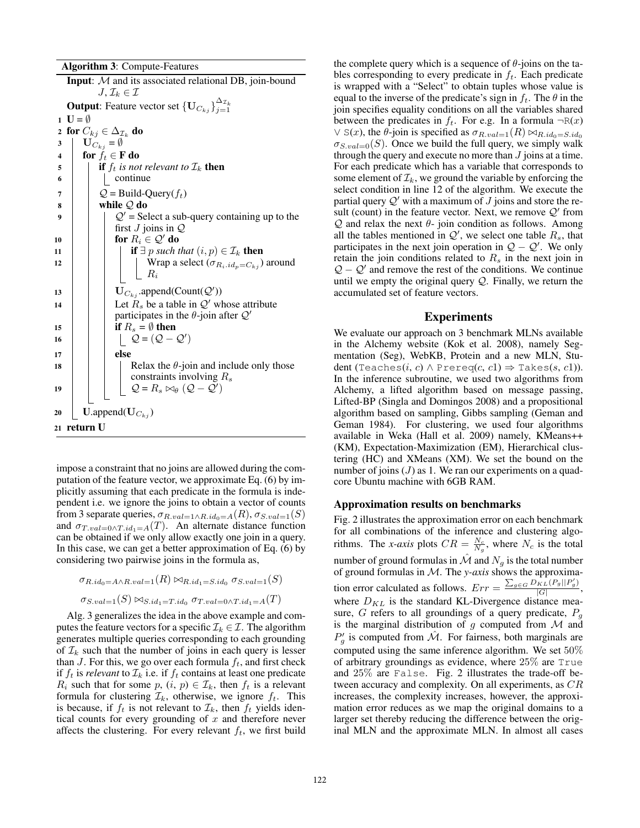Algorithm 3: Compute-Features

Input: M and its associated relational DB, join-bound  $J, \mathcal{I}_k \in \mathcal{I}$ **Output**: Feature vector set  $\{ \mathbf{U}_{C_{kj}} \}_{j=1}^{\Delta_{\mathcal{I}_k}}$ 1  $U = \emptyset$ 2 for  $C_{kj} \in \Delta_{\mathcal{I}_k}$  do  $3 \mid \mathbf{U}_{C_{kj}} = \emptyset$ 4 for  $f_t \in \mathbf{F}$  do 5 **if**  $f_t$  *is not relevant to*  $\mathcal{I}_k$  **then**  $\begin{array}{c|c|c|c} \hline \hline \hline \end{array}$  | continue  $7 \mid Q = \text{Build-Query}(f_t)$  $8$  while  $Q$  do  $\overline{Q'}$  = Select a sub-query containing up to the first  $J$  joins in  $Q$ 10 **for**  $R_i \in \mathcal{Q}'$  do 11 **if**  $\exists p \text{ such that } (i, p) \in \mathcal{I}_k$  then 12 | | | | Wrap a select  $(\sigma_{R_i, id_p = C_{ki}})$  around  $R_i$ 13 |  $\bigcup_{C_{kj}}$  .append(Count( $\mathcal{Q}'$ )) 14  $\parallel$  Let  $R_s$  be a table in Q' whose attribute participates in the  $\theta$ -join after  $Q'$ 15 **if**  $R_s = \emptyset$  then 16  $\Big| \Big| \Big| \Big| \Big| \mathcal{Q} = (\mathcal{Q} - \mathcal{Q}')$  $17$  else 18 | Relax the  $\theta$ -join and include only those constraints involving  $R_s$ 19  $\Big|$   $\Big|$   $\Big|$   $\mathcal{Q} = R_s \bowtie_{\theta} (\mathcal{Q} - \mathcal{Q}')$ 20 | U.append $(\mathbf{U}_{C_{ki}})$ <sup>21</sup> return U

impose a constraint that no joins are allowed during the computation of the feature vector, we approximate Eq. (6) by implicitly assuming that each predicate in the formula is independent i.e. we ignore the joins to obtain a vector of counts from 3 separate queries,  $\sigma_{R.val=1 \wedge R.id_0 = A}(R)$ ,  $\sigma_{S.val=1}(S)$ and  $\sigma_{T.val=0 \wedge T.id_1=A(T)$ . An alternate distance function can be obtained if we only allow exactly one join in a query. In this case, we can get a better approximation of Eq. (6) by considering two pairwise joins in the formula as,

$$
\sigma_{R.id_0 = A \land R.val = 1}(R) \bowtie_{R.id_1 = S.id_0} \sigma_{S.val = 1}(S)
$$
  

$$
\sigma_{S.val = 1}(S) \bowtie_{S.id_1 = T.id_0} \sigma_{T.val = 0 \land T.id_1 = A}(T)
$$

Alg. 3 generalizes the idea in the above example and computes the feature vectors for a specific  $\mathcal{I}_k \in \mathcal{I}$ . The algorithm generates multiple queries corresponding to each grounding of  $\mathcal{I}_k$  such that the number of joins in each query is lesser than J. For this, we go over each formula  $f_t$ , and first check if  $f_t$  is *relevant* to  $\mathcal{I}_k$  i.e. if  $f_t$  contains at least one predicate  $R_i$  such that for some  $p$ ,  $(i, p) \in \mathcal{I}_k$ , then  $f_t$  is a relevant formula for clustering  $\mathcal{I}_k$ , otherwise, we ignore  $f_t$ . This is because, if  $f_t$  is not relevant to  $\mathcal{I}_k$ , then  $f_t$  yields identical counts for every grounding of  $x$  and therefore never affects the clustering. For every relevant  $f_t$ , we first build the complete query which is a sequence of  $\theta$ -joins on the tables corresponding to every predicate in  $f_t$ . Each predicate is wrapped with a "Select" to obtain tuples whose value is equal to the inverse of the predicate's sign in  $f_t$ . The  $\theta$  in the join specifies equality conditions on all the variables shared between the predicates in  $f_t$ . For e.g. In a formula  $\neg R(x)$  $\vee$  S(x), the  $\theta$ -join is specified as  $\sigma_{R.val=1}(R) \bowtie_{R.id_0=S.id_0}$  $\sigma_{S.val=0}(S)$ . Once we build the full query, we simply walk through the query and execute no more than  $J$  joins at a time. For each predicate which has a variable that corresponds to some element of  $\mathcal{I}_k$ , we ground the variable by enforcing the select condition in line 12 of the algorithm. We execute the partial query  $Q'$  with a maximum of J joins and store the result (count) in the feature vector. Next, we remove  $Q'$  from  $Q$  and relax the next  $\theta$ - join condition as follows. Among all the tables mentioned in  $Q'$ , we select one table  $R_s$ , that participates in the next join operation in  $Q - Q'$ . We only retain the join conditions related to  $R_s$  in the next join in  $Q - Q'$  and remove the rest of the conditions. We continue until we empty the original query  $Q$ . Finally, we return the accumulated set of feature vectors.

# Experiments

We evaluate our approach on 3 benchmark MLNs available in the Alchemy website (Kok et al. 2008), namely Segmentation (Seg), WebKB, Protein and a new MLN, Student (Teaches(*i*, *c*)  $\land$  Prereq(*c*, *c*1)  $\Rightarrow$  Takes(*s*, *c*1)). In the inference subroutine, we used two algorithms from Alchemy, a lifted algorithm based on message passing, Lifted-BP (Singla and Domingos 2008) and a propositional algorithm based on sampling, Gibbs sampling (Geman and Geman 1984). For clustering, we used four algorithms available in Weka (Hall et al. 2009) namely, KMeans++ (KM), Expectation-Maximization (EM), Hierarchical clustering (HC) and XMeans (XM). We set the bound on the number of joins  $(J)$  as 1. We ran our experiments on a quadcore Ubuntu machine with 6GB RAM.

#### Approximation results on benchmarks

Fig. 2 illustrates the approximation error on each benchmark for all combinations of the inference and clustering algorithms. The *x*-axis plots  $CR = \frac{N_c}{N_g}$ , where  $N_c$  is the total number of ground formulas in  $\mathcal M$  and  $N_g$  is the total number of ground formulas in M. The *y-axis* shows the approximation error calculated as follows.  $Err = \frac{\sum_{g \in G} D_{KL}(P_g||P'_g)}{|G|}$  $|G|$ , where  $D_{KL}$  is the standard KL-Divergence distance measure, G refers to all groundings of a query predicate,  $P<sub>g</sub>$ is the marginal distribution of  $g$  computed from  $M$  and  $P'_{g}$  is computed from  $\mathcal{\hat{M}}$ . For fairness, both marginals are computed using the same inference algorithm. We set 50% of arbitrary groundings as evidence, where 25% are True and 25% are False. Fig. 2 illustrates the trade-off between accuracy and complexity. On all experiments, as  $CR$ increases, the complexity increases, however, the approximation error reduces as we map the original domains to a larger set thereby reducing the difference between the original MLN and the approximate MLN. In almost all cases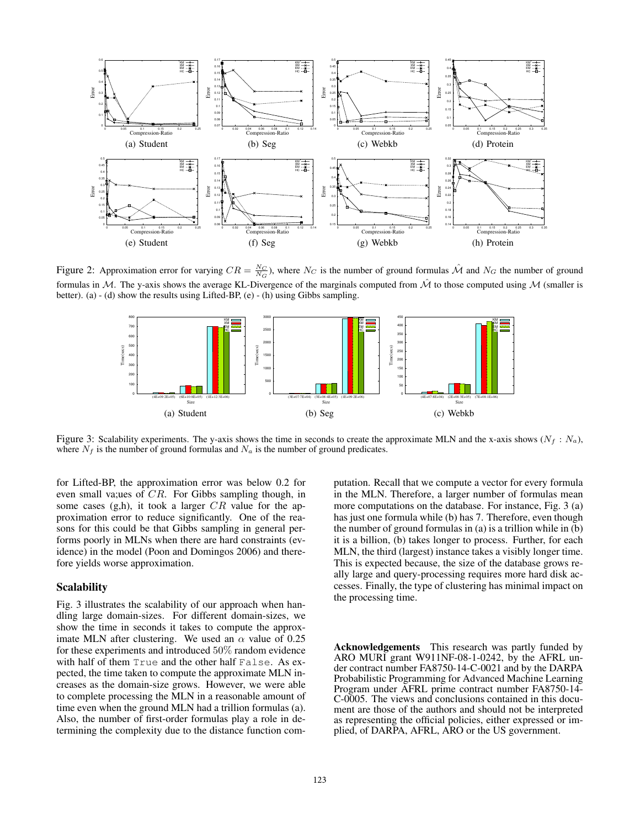

Figure 2: Approximation error for varying  $CR = \frac{N_C}{N_G}$ , where  $N_C$  is the number of ground formulas  $\hat{M}$  and  $N_G$  the number of ground formulas in M. The y-axis shows the average KL-Divergence of the marginals computed from  $\hat{\mathcal{M}}$  to those computed using M (smaller is better). (a) - (d) show the results using Lifted-BP, (e) - (h) using Gibbs sampling.



Figure 3: Scalability experiments. The y-axis shows the time in seconds to create the approximate MLN and the x-axis shows  $(N_f : N_a)$ , where  $N_f$  is the number of ground formulas and  $N_a$  is the number of ground predicates.

for Lifted-BP, the approximation error was below 0.2 for even small va;ues of CR. For Gibbs sampling though, in some cases  $(g,h)$ , it took a larger  $CR$  value for the approximation error to reduce significantly. One of the reasons for this could be that Gibbs sampling in general performs poorly in MLNs when there are hard constraints (evidence) in the model (Poon and Domingos 2006) and therefore yields worse approximation.

#### **Scalability**

Fig. 3 illustrates the scalability of our approach when handling large domain-sizes. For different domain-sizes, we show the time in seconds it takes to compute the approximate MLN after clustering. We used an  $\alpha$  value of 0.25 for these experiments and introduced 50% random evidence with half of them True and the other half False. As expected, the time taken to compute the approximate MLN increases as the domain-size grows. However, we were able to complete processing the MLN in a reasonable amount of time even when the ground MLN had a trillion formulas (a). Also, the number of first-order formulas play a role in determining the complexity due to the distance function computation. Recall that we compute a vector for every formula in the MLN. Therefore, a larger number of formulas mean more computations on the database. For instance, Fig. 3 (a) has just one formula while (b) has 7. Therefore, even though the number of ground formulas in (a) is a trillion while in (b) it is a billion, (b) takes longer to process. Further, for each MLN, the third (largest) instance takes a visibly longer time. This is expected because, the size of the database grows really large and query-processing requires more hard disk accesses. Finally, the type of clustering has minimal impact on the processing time.

Acknowledgements This research was partly funded by ARO MURI grant W911NF-08-1-0242, by the AFRL under contract number FA8750-14-C-0021 and by the DARPA Probabilistic Programming for Advanced Machine Learning Program under AFRL prime contract number FA8750-14- C-0005. The views and conclusions contained in this document are those of the authors and should not be interpreted as representing the official policies, either expressed or implied, of DARPA, AFRL, ARO or the US government.